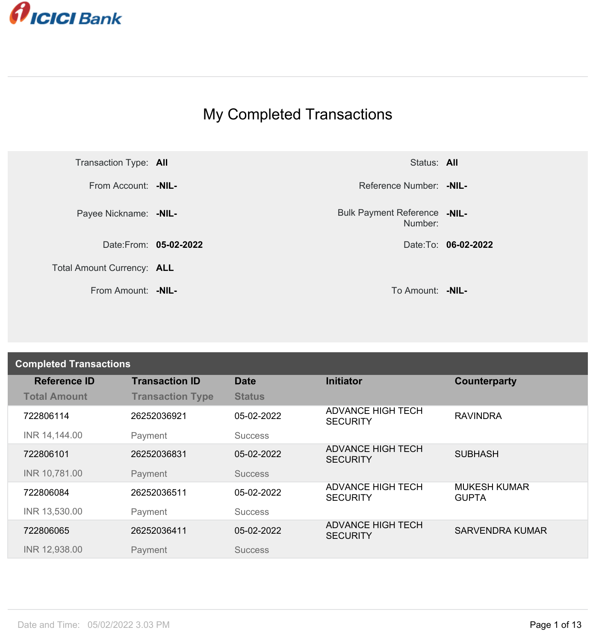

## My Completed Transactions



Number: **-NIL-**

| <b>Completed Transactions</b> |                         |                |                                             |                                     |
|-------------------------------|-------------------------|----------------|---------------------------------------------|-------------------------------------|
| <b>Reference ID</b>           | <b>Transaction ID</b>   | <b>Date</b>    | <b>Initiator</b>                            | Counterparty                        |
| <b>Total Amount</b>           | <b>Transaction Type</b> | <b>Status</b>  |                                             |                                     |
| 722806114                     | 26252036921             | 05-02-2022     | <b>ADVANCE HIGH TECH</b><br><b>SECURITY</b> | <b>RAVINDRA</b>                     |
| INR 14,144.00                 | Payment                 | <b>Success</b> |                                             |                                     |
| 722806101                     | 26252036831             | 05-02-2022     | <b>ADVANCE HIGH TECH</b><br><b>SECURITY</b> | <b>SUBHASH</b>                      |
| INR 10,781.00                 | Payment                 | <b>Success</b> |                                             |                                     |
| 722806084                     | 26252036511             | 05-02-2022     | <b>ADVANCE HIGH TECH</b><br><b>SECURITY</b> | <b>MUKESH KUMAR</b><br><b>GUPTA</b> |
| INR 13,530.00                 | Payment                 | <b>Success</b> |                                             |                                     |
| 722806065                     | 26252036411             | 05-02-2022     | <b>ADVANCE HIGH TECH</b><br><b>SECURITY</b> | <b>SARVENDRA KUMAR</b>              |
| INR 12,938.00                 | Payment                 | <b>Success</b> |                                             |                                     |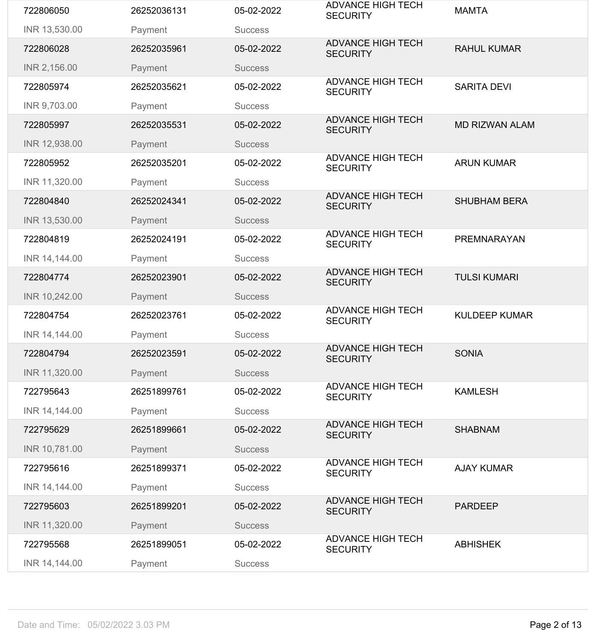| 722806050     | 26252036131 | 05-02-2022     | <b>ADVANCE HIGH TECH</b><br><b>SECURITY</b> | <b>MAMTA</b>          |
|---------------|-------------|----------------|---------------------------------------------|-----------------------|
| INR 13,530.00 | Payment     | <b>Success</b> |                                             |                       |
| 722806028     | 26252035961 | 05-02-2022     | <b>ADVANCE HIGH TECH</b><br><b>SECURITY</b> | <b>RAHUL KUMAR</b>    |
| INR 2,156.00  | Payment     | <b>Success</b> |                                             |                       |
| 722805974     | 26252035621 | 05-02-2022     | <b>ADVANCE HIGH TECH</b><br><b>SECURITY</b> | <b>SARITA DEVI</b>    |
| INR 9,703.00  | Payment     | <b>Success</b> |                                             |                       |
| 722805997     | 26252035531 | 05-02-2022     | <b>ADVANCE HIGH TECH</b><br><b>SECURITY</b> | <b>MD RIZWAN ALAM</b> |
| INR 12,938.00 | Payment     | <b>Success</b> |                                             |                       |
| 722805952     | 26252035201 | 05-02-2022     | <b>ADVANCE HIGH TECH</b><br><b>SECURITY</b> | <b>ARUN KUMAR</b>     |
| INR 11,320.00 | Payment     | <b>Success</b> |                                             |                       |
| 722804840     | 26252024341 | 05-02-2022     | <b>ADVANCE HIGH TECH</b><br><b>SECURITY</b> | <b>SHUBHAM BERA</b>   |
| INR 13,530.00 | Payment     | <b>Success</b> |                                             |                       |
| 722804819     | 26252024191 | 05-02-2022     | <b>ADVANCE HIGH TECH</b><br><b>SECURITY</b> | PREMNARAYAN           |
| INR 14,144.00 | Payment     | <b>Success</b> |                                             |                       |
| 722804774     | 26252023901 | 05-02-2022     | <b>ADVANCE HIGH TECH</b><br><b>SECURITY</b> | <b>TULSI KUMARI</b>   |
| INR 10,242.00 | Payment     | <b>Success</b> |                                             |                       |
| 722804754     | 26252023761 | 05-02-2022     | <b>ADVANCE HIGH TECH</b><br><b>SECURITY</b> | <b>KULDEEP KUMAR</b>  |
| INR 14,144.00 | Payment     | <b>Success</b> |                                             |                       |
| 722804794     | 26252023591 | 05-02-2022     | <b>ADVANCE HIGH TECH</b><br><b>SECURITY</b> | <b>SONIA</b>          |
| INR 11,320.00 | Payment     | <b>Success</b> |                                             |                       |
| 722795643     | 26251899761 | 05-02-2022     | <b>ADVANCE HIGH TECH</b><br><b>SECURITY</b> | <b>KAMLESH</b>        |
| INR 14,144.00 | Payment     | <b>Success</b> |                                             |                       |
| 722795629     | 26251899661 | 05-02-2022     | <b>ADVANCE HIGH TECH</b><br><b>SECURITY</b> | <b>SHABNAM</b>        |
| INR 10,781.00 | Payment     | <b>Success</b> |                                             |                       |
| 722795616     | 26251899371 | 05-02-2022     | <b>ADVANCE HIGH TECH</b><br><b>SECURITY</b> | <b>AJAY KUMAR</b>     |
| INR 14,144.00 | Payment     | <b>Success</b> |                                             |                       |
| 722795603     | 26251899201 | 05-02-2022     | <b>ADVANCE HIGH TECH</b><br><b>SECURITY</b> | <b>PARDEEP</b>        |
| INR 11,320.00 | Payment     | <b>Success</b> |                                             |                       |
| 722795568     | 26251899051 | 05-02-2022     | <b>ADVANCE HIGH TECH</b><br><b>SECURITY</b> | <b>ABHISHEK</b>       |
| INR 14,144.00 | Payment     | <b>Success</b> |                                             |                       |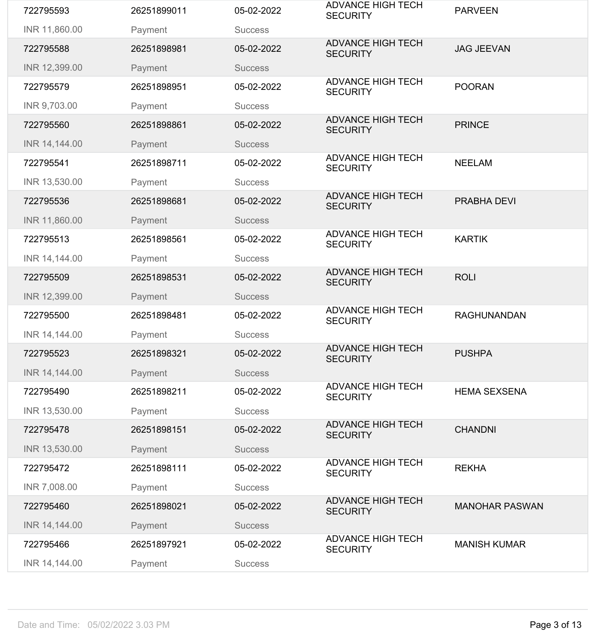| INR 11,860.00 | Payment     | <b>Success</b> | <b>SECURITY</b>                             |                       |
|---------------|-------------|----------------|---------------------------------------------|-----------------------|
| 722795588     | 26251898981 | 05-02-2022     | <b>ADVANCE HIGH TECH</b><br><b>SECURITY</b> | <b>JAG JEEVAN</b>     |
| INR 12,399.00 | Payment     | <b>Success</b> |                                             |                       |
| 722795579     | 26251898951 | 05-02-2022     | <b>ADVANCE HIGH TECH</b><br><b>SECURITY</b> | <b>POORAN</b>         |
| INR 9,703.00  | Payment     | <b>Success</b> |                                             |                       |
| 722795560     | 26251898861 | 05-02-2022     | <b>ADVANCE HIGH TECH</b><br><b>SECURITY</b> | <b>PRINCE</b>         |
| INR 14,144.00 | Payment     | <b>Success</b> |                                             |                       |
| 722795541     | 26251898711 | 05-02-2022     | <b>ADVANCE HIGH TECH</b><br><b>SECURITY</b> | <b>NEELAM</b>         |
| INR 13,530.00 | Payment     | <b>Success</b> |                                             |                       |
| 722795536     | 26251898681 | 05-02-2022     | <b>ADVANCE HIGH TECH</b><br><b>SECURITY</b> | <b>PRABHA DEVI</b>    |
| INR 11,860.00 | Payment     | <b>Success</b> |                                             |                       |
| 722795513     | 26251898561 | 05-02-2022     | <b>ADVANCE HIGH TECH</b><br><b>SECURITY</b> | <b>KARTIK</b>         |
| INR 14,144.00 | Payment     | <b>Success</b> |                                             |                       |
| 722795509     | 26251898531 | 05-02-2022     | <b>ADVANCE HIGH TECH</b><br><b>SECURITY</b> | <b>ROLI</b>           |
| INR 12,399.00 | Payment     | <b>Success</b> |                                             |                       |
| 722795500     | 26251898481 | 05-02-2022     | <b>ADVANCE HIGH TECH</b>                    | <b>RAGHUNANDAN</b>    |
|               |             |                | <b>SECURITY</b>                             |                       |
| INR 14,144.00 | Payment     | <b>Success</b> |                                             |                       |
| 722795523     | 26251898321 | 05-02-2022     | <b>ADVANCE HIGH TECH</b><br><b>SECURITY</b> | <b>PUSHPA</b>         |
| INR 14,144.00 | Payment     | <b>Success</b> |                                             |                       |
| 722795490     | 26251898211 | 05-02-2022     | <b>ADVANCE HIGH TECH</b><br><b>SECURITY</b> | <b>HEMA SEXSENA</b>   |
| INR 13,530.00 | Payment     | <b>Success</b> |                                             |                       |
| 722795478     | 26251898151 | 05-02-2022     | <b>ADVANCE HIGH TECH</b><br><b>SECURITY</b> | <b>CHANDNI</b>        |
| INR 13,530.00 | Payment     | <b>Success</b> |                                             |                       |
| 722795472     | 26251898111 | 05-02-2022     | <b>ADVANCE HIGH TECH</b><br><b>SECURITY</b> | <b>REKHA</b>          |
| INR 7,008.00  | Payment     | <b>Success</b> |                                             |                       |
| 722795460     | 26251898021 | 05-02-2022     | <b>ADVANCE HIGH TECH</b><br><b>SECURITY</b> | <b>MANOHAR PASWAN</b> |
| INR 14,144.00 | Payment     | <b>Success</b> |                                             |                       |
| 722795466     | 26251897921 | 05-02-2022     | <b>ADVANCE HIGH TECH</b><br><b>SECURITY</b> | <b>MANISH KUMAR</b>   |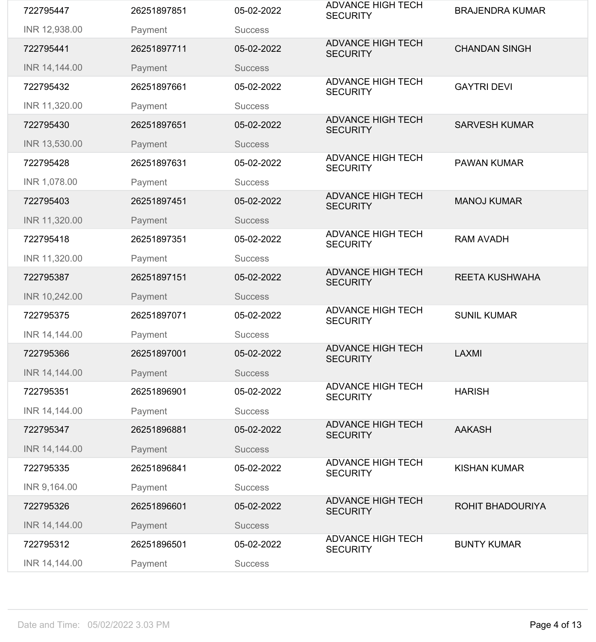| 722795447     | 26251897851 | 05-02-2022     | <b>ADVANCE HIGH TECH</b><br><b>SECURITY</b> | <b>BRAJENDRA KUMAR</b>  |
|---------------|-------------|----------------|---------------------------------------------|-------------------------|
| INR 12,938.00 | Payment     | <b>Success</b> |                                             |                         |
| 722795441     | 26251897711 | 05-02-2022     | <b>ADVANCE HIGH TECH</b><br><b>SECURITY</b> | <b>CHANDAN SINGH</b>    |
| INR 14,144.00 | Payment     | <b>Success</b> |                                             |                         |
| 722795432     | 26251897661 | 05-02-2022     | <b>ADVANCE HIGH TECH</b><br><b>SECURITY</b> | <b>GAYTRI DEVI</b>      |
| INR 11,320.00 | Payment     | <b>Success</b> |                                             |                         |
| 722795430     | 26251897651 | 05-02-2022     | <b>ADVANCE HIGH TECH</b><br><b>SECURITY</b> | <b>SARVESH KUMAR</b>    |
| INR 13,530.00 | Payment     | <b>Success</b> |                                             |                         |
| 722795428     | 26251897631 | 05-02-2022     | <b>ADVANCE HIGH TECH</b><br><b>SECURITY</b> | <b>PAWAN KUMAR</b>      |
| INR 1,078.00  | Payment     | <b>Success</b> |                                             |                         |
| 722795403     | 26251897451 | 05-02-2022     | <b>ADVANCE HIGH TECH</b><br><b>SECURITY</b> | <b>MANOJ KUMAR</b>      |
| INR 11,320.00 | Payment     | <b>Success</b> |                                             |                         |
| 722795418     | 26251897351 | 05-02-2022     | <b>ADVANCE HIGH TECH</b><br><b>SECURITY</b> | <b>RAM AVADH</b>        |
| INR 11,320.00 | Payment     | <b>Success</b> |                                             |                         |
| 722795387     | 26251897151 | 05-02-2022     | <b>ADVANCE HIGH TECH</b><br><b>SECURITY</b> | <b>REETA KUSHWAHA</b>   |
| INR 10,242.00 | Payment     | <b>Success</b> |                                             |                         |
| 722795375     | 26251897071 | 05-02-2022     | <b>ADVANCE HIGH TECH</b><br><b>SECURITY</b> | <b>SUNIL KUMAR</b>      |
| INR 14,144.00 | Payment     | <b>Success</b> |                                             |                         |
| 722795366     | 26251897001 | 05-02-2022     | <b>ADVANCE HIGH TECH</b><br><b>SECURITY</b> | <b>LAXMI</b>            |
| INR 14,144.00 | Payment     | <b>Success</b> |                                             |                         |
| 722795351     | 26251896901 | 05-02-2022     | <b>ADVANCE HIGH TECH</b><br><b>SECURITY</b> | <b>HARISH</b>           |
| INR 14,144.00 | Payment     | <b>Success</b> |                                             |                         |
| 722795347     | 26251896881 | 05-02-2022     | <b>ADVANCE HIGH TECH</b><br><b>SECURITY</b> | <b>AAKASH</b>           |
| INR 14,144.00 | Payment     | <b>Success</b> |                                             |                         |
| 722795335     | 26251896841 | 05-02-2022     | <b>ADVANCE HIGH TECH</b><br><b>SECURITY</b> | <b>KISHAN KUMAR</b>     |
| INR 9,164.00  | Payment     | <b>Success</b> |                                             |                         |
| 722795326     | 26251896601 | 05-02-2022     | <b>ADVANCE HIGH TECH</b><br><b>SECURITY</b> | <b>ROHIT BHADOURIYA</b> |
| INR 14,144.00 | Payment     | <b>Success</b> |                                             |                         |
| 722795312     | 26251896501 | 05-02-2022     | <b>ADVANCE HIGH TECH</b><br><b>SECURITY</b> | <b>BUNTY KUMAR</b>      |
|               |             |                |                                             |                         |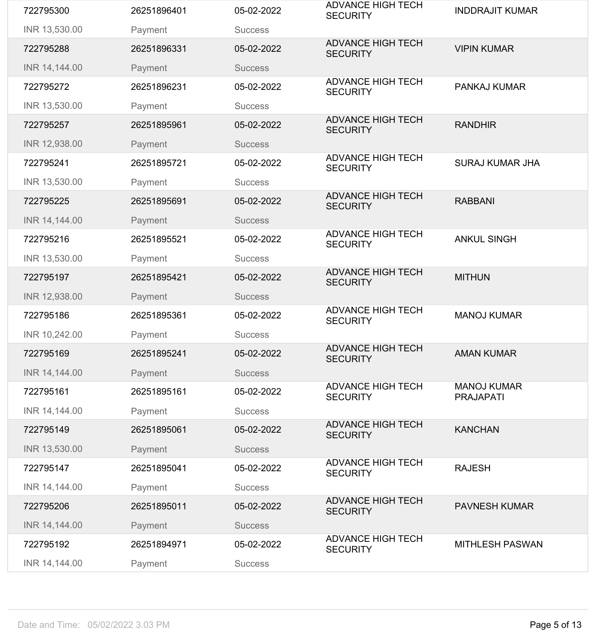| 722795300     | 26251896401 | 05-02-2022     | <b>ADVANCE HIGH TECH</b><br><b>SECURITY</b> | <b>INDDRAJIT KUMAR</b>                 |
|---------------|-------------|----------------|---------------------------------------------|----------------------------------------|
| INR 13,530.00 | Payment     | <b>Success</b> |                                             |                                        |
| 722795288     | 26251896331 | 05-02-2022     | <b>ADVANCE HIGH TECH</b><br><b>SECURITY</b> | <b>VIPIN KUMAR</b>                     |
| INR 14,144.00 | Payment     | <b>Success</b> |                                             |                                        |
| 722795272     | 26251896231 | 05-02-2022     | <b>ADVANCE HIGH TECH</b><br><b>SECURITY</b> | <b>PANKAJ KUMAR</b>                    |
| INR 13,530.00 | Payment     | <b>Success</b> |                                             |                                        |
| 722795257     | 26251895961 | 05-02-2022     | <b>ADVANCE HIGH TECH</b><br><b>SECURITY</b> | <b>RANDHIR</b>                         |
| INR 12,938.00 | Payment     | <b>Success</b> |                                             |                                        |
| 722795241     | 26251895721 | 05-02-2022     | <b>ADVANCE HIGH TECH</b><br><b>SECURITY</b> | <b>SURAJ KUMAR JHA</b>                 |
| INR 13,530.00 | Payment     | <b>Success</b> |                                             |                                        |
| 722795225     | 26251895691 | 05-02-2022     | <b>ADVANCE HIGH TECH</b><br><b>SECURITY</b> | <b>RABBANI</b>                         |
| INR 14,144.00 | Payment     | <b>Success</b> |                                             |                                        |
| 722795216     | 26251895521 | 05-02-2022     | <b>ADVANCE HIGH TECH</b><br><b>SECURITY</b> | <b>ANKUL SINGH</b>                     |
| INR 13,530.00 | Payment     | <b>Success</b> |                                             |                                        |
| 722795197     | 26251895421 | 05-02-2022     | <b>ADVANCE HIGH TECH</b><br><b>SECURITY</b> | <b>MITHUN</b>                          |
| INR 12,938.00 | Payment     | <b>Success</b> |                                             |                                        |
|               |             |                |                                             |                                        |
| 722795186     | 26251895361 | 05-02-2022     | <b>ADVANCE HIGH TECH</b><br><b>SECURITY</b> | <b>MANOJ KUMAR</b>                     |
| INR 10,242.00 | Payment     | <b>Success</b> |                                             |                                        |
| 722795169     | 26251895241 | 05-02-2022     | <b>ADVANCE HIGH TECH</b><br><b>SECURITY</b> | <b>AMAN KUMAR</b>                      |
| INR 14,144.00 | Payment     | <b>Success</b> |                                             |                                        |
| 722795161     | 26251895161 | 05-02-2022     | <b>ADVANCE HIGH TECH</b><br><b>SECURITY</b> | <b>MANOJ KUMAR</b><br><b>PRAJAPATI</b> |
| INR 14,144.00 | Payment     | <b>Success</b> |                                             |                                        |
| 722795149     | 26251895061 | 05-02-2022     | <b>ADVANCE HIGH TECH</b><br><b>SECURITY</b> | <b>KANCHAN</b>                         |
| INR 13,530.00 | Payment     | <b>Success</b> |                                             |                                        |
| 722795147     | 26251895041 | 05-02-2022     | <b>ADVANCE HIGH TECH</b><br><b>SECURITY</b> | <b>RAJESH</b>                          |
| INR 14,144.00 | Payment     | <b>Success</b> |                                             |                                        |
| 722795206     | 26251895011 | 05-02-2022     | <b>ADVANCE HIGH TECH</b><br><b>SECURITY</b> | <b>PAVNESH KUMAR</b>                   |
| INR 14,144.00 | Payment     | <b>Success</b> |                                             |                                        |
| 722795192     | 26251894971 | 05-02-2022     | <b>ADVANCE HIGH TECH</b><br><b>SECURITY</b> | <b>MITHLESH PASWAN</b>                 |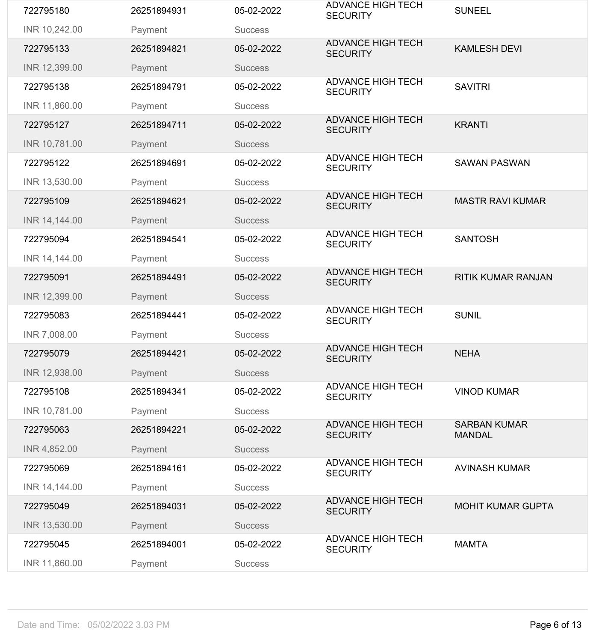| 722795180     | 26251894931 | 05-02-2022     | <b>ADVANCE HIGH TECH</b><br><b>SECURITY</b> | <b>SUNEEL</b>                        |
|---------------|-------------|----------------|---------------------------------------------|--------------------------------------|
| INR 10,242.00 | Payment     | <b>Success</b> |                                             |                                      |
| 722795133     | 26251894821 | 05-02-2022     | <b>ADVANCE HIGH TECH</b><br><b>SECURITY</b> | <b>KAMLESH DEVI</b>                  |
| INR 12,399.00 | Payment     | <b>Success</b> |                                             |                                      |
| 722795138     | 26251894791 | 05-02-2022     | <b>ADVANCE HIGH TECH</b><br><b>SECURITY</b> | <b>SAVITRI</b>                       |
| INR 11,860.00 | Payment     | <b>Success</b> |                                             |                                      |
| 722795127     | 26251894711 | 05-02-2022     | <b>ADVANCE HIGH TECH</b><br><b>SECURITY</b> | <b>KRANTI</b>                        |
| INR 10,781.00 | Payment     | <b>Success</b> |                                             |                                      |
| 722795122     | 26251894691 | 05-02-2022     | <b>ADVANCE HIGH TECH</b><br><b>SECURITY</b> | <b>SAWAN PASWAN</b>                  |
| INR 13,530.00 | Payment     | <b>Success</b> |                                             |                                      |
| 722795109     | 26251894621 | 05-02-2022     | <b>ADVANCE HIGH TECH</b><br><b>SECURITY</b> | <b>MASTR RAVI KUMAR</b>              |
| INR 14,144.00 | Payment     | <b>Success</b> |                                             |                                      |
| 722795094     | 26251894541 | 05-02-2022     | <b>ADVANCE HIGH TECH</b><br><b>SECURITY</b> | <b>SANTOSH</b>                       |
| INR 14,144.00 | Payment     | <b>Success</b> |                                             |                                      |
| 722795091     | 26251894491 | 05-02-2022     | <b>ADVANCE HIGH TECH</b><br><b>SECURITY</b> | <b>RITIK KUMAR RANJAN</b>            |
| INR 12,399.00 | Payment     | <b>Success</b> |                                             |                                      |
| 722795083     | 26251894441 | 05-02-2022     | <b>ADVANCE HIGH TECH</b><br><b>SECURITY</b> | <b>SUNIL</b>                         |
| INR 7,008.00  | Payment     | <b>Success</b> |                                             |                                      |
| 722795079     | 26251894421 | 05-02-2022     | <b>ADVANCE HIGH TECH</b><br><b>SECURITY</b> | <b>NEHA</b>                          |
| INR 12,938.00 | Payment     | <b>Success</b> |                                             |                                      |
| 722795108     | 26251894341 | 05-02-2022     | <b>ADVANCE HIGH TECH</b><br><b>SECURITY</b> | <b>VINOD KUMAR</b>                   |
| INR 10,781.00 | Payment     | <b>Success</b> |                                             |                                      |
| 722795063     | 26251894221 | 05-02-2022     | <b>ADVANCE HIGH TECH</b><br><b>SECURITY</b> | <b>SARBAN KUMAR</b><br><b>MANDAL</b> |
| INR 4,852.00  | Payment     | <b>Success</b> |                                             |                                      |
| 722795069     | 26251894161 | 05-02-2022     | <b>ADVANCE HIGH TECH</b><br><b>SECURITY</b> | <b>AVINASH KUMAR</b>                 |
| INR 14,144.00 | Payment     | <b>Success</b> |                                             |                                      |
| 722795049     | 26251894031 | 05-02-2022     | <b>ADVANCE HIGH TECH</b><br><b>SECURITY</b> | <b>MOHIT KUMAR GUPTA</b>             |
| INR 13,530.00 | Payment     | <b>Success</b> |                                             |                                      |
| 722795045     | 26251894001 | 05-02-2022     | <b>ADVANCE HIGH TECH</b><br><b>SECURITY</b> | <b>MAMTA</b>                         |
| INR 11,860.00 | Payment     | <b>Success</b> |                                             |                                      |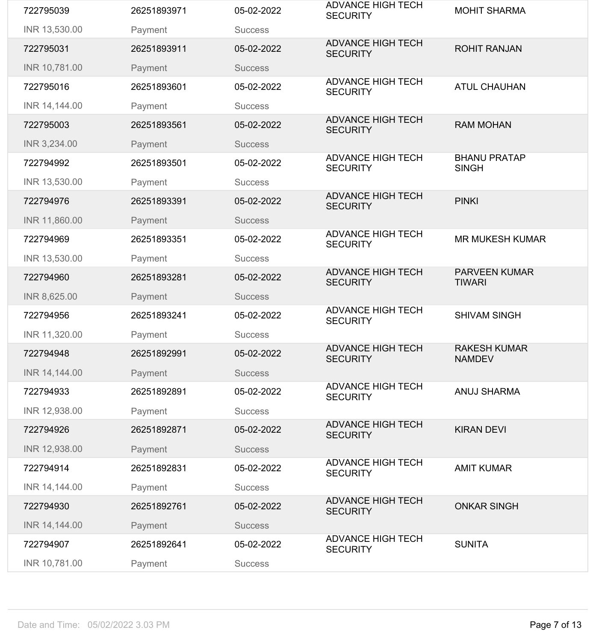| INR 11,320.00<br>722794948<br>INR 14,144.00<br>722794933<br>INR 12,938.00 | Payment<br>26251892991<br>Payment<br>26251892891<br>Payment | <b>Success</b><br>05-02-2022<br><b>Success</b><br>05-02-2022<br><b>Success</b> | <b>ADVANCE HIGH TECH</b><br><b>SECURITY</b><br><b>ADVANCE HIGH TECH</b><br><b>SECURITY</b><br><b>ADVANCE HIGH TECH</b> | <b>RAKESH KUMAR</b><br><b>NAMDEV</b><br><b>ANUJ SHARMA</b> |
|---------------------------------------------------------------------------|-------------------------------------------------------------|--------------------------------------------------------------------------------|------------------------------------------------------------------------------------------------------------------------|------------------------------------------------------------|
|                                                                           |                                                             |                                                                                |                                                                                                                        |                                                            |
|                                                                           |                                                             |                                                                                |                                                                                                                        |                                                            |
|                                                                           |                                                             |                                                                                |                                                                                                                        |                                                            |
|                                                                           |                                                             |                                                                                |                                                                                                                        |                                                            |
|                                                                           |                                                             |                                                                                |                                                                                                                        |                                                            |
| 722794956                                                                 | 26251893241                                                 | 05-02-2022                                                                     | <b>ADVANCE HIGH TECH</b><br><b>SECURITY</b>                                                                            | <b>SHIVAM SINGH</b>                                        |
| INR 8,625.00                                                              | Payment                                                     | <b>Success</b>                                                                 |                                                                                                                        |                                                            |
| 722794960                                                                 | 26251893281                                                 | 05-02-2022                                                                     | <b>ADVANCE HIGH TECH</b><br><b>SECURITY</b>                                                                            | <b>PARVEEN KUMAR</b><br><b>TIWARI</b>                      |
| INR 13,530.00                                                             | Payment                                                     | <b>Success</b>                                                                 |                                                                                                                        |                                                            |
| 722794969                                                                 | 26251893351                                                 | 05-02-2022                                                                     | <b>ADVANCE HIGH TECH</b><br><b>SECURITY</b>                                                                            | <b>MR MUKESH KUMAR</b>                                     |
| INR 11,860.00                                                             | Payment                                                     | <b>Success</b>                                                                 |                                                                                                                        |                                                            |
| 722794976                                                                 | 26251893391                                                 | 05-02-2022                                                                     | <b>ADVANCE HIGH TECH</b><br><b>SECURITY</b>                                                                            | <b>PINKI</b>                                               |
| INR 13,530.00                                                             | Payment                                                     | <b>Success</b>                                                                 |                                                                                                                        |                                                            |
| 722794992                                                                 | 26251893501                                                 | 05-02-2022                                                                     | <b>ADVANCE HIGH TECH</b><br><b>SECURITY</b>                                                                            | <b>BHANU PRATAP</b><br><b>SINGH</b>                        |
| INR 3,234.00                                                              | Payment                                                     | <b>Success</b>                                                                 | <b>SECURITY</b>                                                                                                        |                                                            |
| 722795003                                                                 | 26251893561                                                 | 05-02-2022                                                                     | <b>ADVANCE HIGH TECH</b>                                                                                               | <b>RAM MOHAN</b>                                           |
| INR 14,144.00                                                             | Payment                                                     | <b>Success</b>                                                                 | <b>SECURITY</b>                                                                                                        |                                                            |
| 722795016                                                                 | 26251893601                                                 | 05-02-2022                                                                     | <b>ADVANCE HIGH TECH</b>                                                                                               | <b>ATUL CHAUHAN</b>                                        |
| INR 10,781.00                                                             | Payment                                                     | <b>Success</b>                                                                 | <b>SECURITY</b>                                                                                                        |                                                            |
| 722795031                                                                 | 26251893911                                                 | 05-02-2022                                                                     | <b>ADVANCE HIGH TECH</b>                                                                                               | <b>ROHIT RANJAN</b>                                        |
| INR 13,530.00                                                             | Payment                                                     | <b>Success</b>                                                                 | <b>SECURITY</b>                                                                                                        |                                                            |
|                                                                           | 26251893971                                                 | 05-02-2022                                                                     | <b>ADVANCE HIGH TECH</b>                                                                                               | <b>MOHIT SHARMA</b>                                        |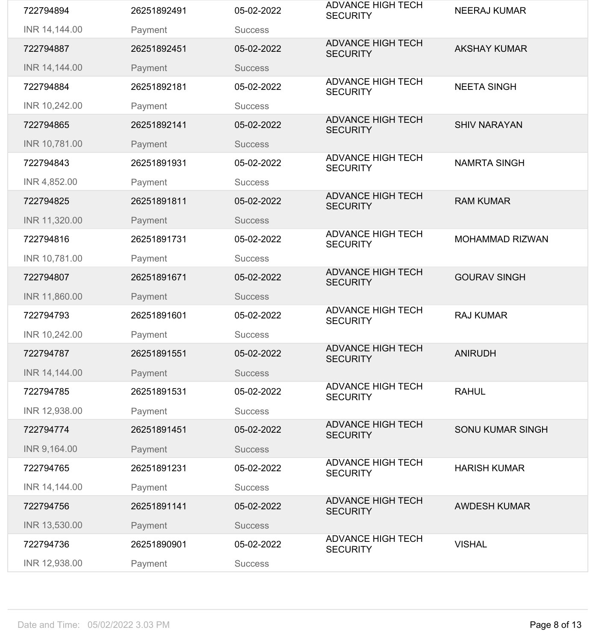| 722794894     | 26251892491 | 05-02-2022     | <b>ADVANCE HIGH TECH</b><br><b>SECURITY</b> | <b>NEERAJ KUMAR</b>     |
|---------------|-------------|----------------|---------------------------------------------|-------------------------|
| INR 14,144.00 | Payment     | <b>Success</b> |                                             |                         |
| 722794887     | 26251892451 | 05-02-2022     | <b>ADVANCE HIGH TECH</b><br><b>SECURITY</b> | <b>AKSHAY KUMAR</b>     |
| INR 14,144.00 | Payment     | <b>Success</b> |                                             |                         |
| 722794884     | 26251892181 | 05-02-2022     | <b>ADVANCE HIGH TECH</b><br><b>SECURITY</b> | <b>NEETA SINGH</b>      |
| INR 10,242.00 | Payment     | <b>Success</b> |                                             |                         |
| 722794865     | 26251892141 | 05-02-2022     | <b>ADVANCE HIGH TECH</b><br><b>SECURITY</b> | <b>SHIV NARAYAN</b>     |
| INR 10,781.00 | Payment     | <b>Success</b> |                                             |                         |
| 722794843     | 26251891931 | 05-02-2022     | <b>ADVANCE HIGH TECH</b><br><b>SECURITY</b> | <b>NAMRTA SINGH</b>     |
| INR 4,852.00  | Payment     | <b>Success</b> |                                             |                         |
| 722794825     | 26251891811 | 05-02-2022     | <b>ADVANCE HIGH TECH</b><br><b>SECURITY</b> | <b>RAM KUMAR</b>        |
| INR 11,320.00 | Payment     | <b>Success</b> |                                             |                         |
| 722794816     | 26251891731 | 05-02-2022     | <b>ADVANCE HIGH TECH</b><br><b>SECURITY</b> | <b>MOHAMMAD RIZWAN</b>  |
| INR 10,781.00 | Payment     | <b>Success</b> |                                             |                         |
| 722794807     | 26251891671 | 05-02-2022     | <b>ADVANCE HIGH TECH</b><br><b>SECURITY</b> | <b>GOURAV SINGH</b>     |
| INR 11,860.00 | Payment     | <b>Success</b> |                                             |                         |
| 722794793     | 26251891601 | 05-02-2022     | <b>ADVANCE HIGH TECH</b><br><b>SECURITY</b> | <b>RAJ KUMAR</b>        |
| INR 10,242.00 | Payment     | <b>Success</b> |                                             |                         |
| 722794787     | 26251891551 | 05-02-2022     | <b>ADVANCE HIGH TECH</b><br><b>SECURITY</b> | <b>ANIRUDH</b>          |
| INR 14,144.00 | Payment     | <b>Success</b> |                                             |                         |
| 722794785     | 26251891531 | 05-02-2022     | <b>ADVANCE HIGH TECH</b><br><b>SECURITY</b> | <b>RAHUL</b>            |
| INR 12,938.00 | Payment     | <b>Success</b> |                                             |                         |
| 722794774     | 26251891451 | 05-02-2022     | <b>ADVANCE HIGH TECH</b><br><b>SECURITY</b> | <b>SONU KUMAR SINGH</b> |
| INR 9,164.00  | Payment     | <b>Success</b> |                                             |                         |
| 722794765     | 26251891231 | 05-02-2022     | <b>ADVANCE HIGH TECH</b><br><b>SECURITY</b> | <b>HARISH KUMAR</b>     |
| INR 14,144.00 | Payment     | <b>Success</b> |                                             |                         |
|               |             | 05-02-2022     | <b>ADVANCE HIGH TECH</b>                    | <b>AWDESH KUMAR</b>     |
| 722794756     | 26251891141 |                | <b>SECURITY</b>                             |                         |
| INR 13,530.00 | Payment     | <b>Success</b> |                                             |                         |
| 722794736     | 26251890901 | 05-02-2022     | <b>ADVANCE HIGH TECH</b><br><b>SECURITY</b> | <b>VISHAL</b>           |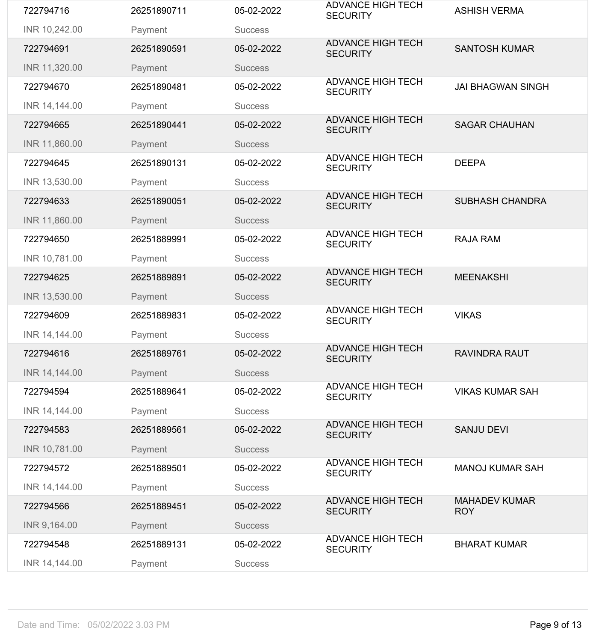| 722794716     | 26251890711 | 05-02-2022     | <b>ADVANCE HIGH TECH</b><br><b>SECURITY</b> | <b>ASHISH VERMA</b>                |
|---------------|-------------|----------------|---------------------------------------------|------------------------------------|
| INR 10,242.00 | Payment     | <b>Success</b> |                                             |                                    |
| 722794691     | 26251890591 | 05-02-2022     | <b>ADVANCE HIGH TECH</b><br><b>SECURITY</b> | <b>SANTOSH KUMAR</b>               |
| INR 11,320.00 | Payment     | <b>Success</b> |                                             |                                    |
| 722794670     | 26251890481 | 05-02-2022     | <b>ADVANCE HIGH TECH</b><br><b>SECURITY</b> | <b>JAI BHAGWAN SINGH</b>           |
| INR 14,144.00 | Payment     | <b>Success</b> |                                             |                                    |
| 722794665     | 26251890441 | 05-02-2022     | <b>ADVANCE HIGH TECH</b><br><b>SECURITY</b> | <b>SAGAR CHAUHAN</b>               |
| INR 11,860.00 | Payment     | <b>Success</b> |                                             |                                    |
| 722794645     | 26251890131 | 05-02-2022     | <b>ADVANCE HIGH TECH</b><br><b>SECURITY</b> | <b>DEEPA</b>                       |
| INR 13,530.00 | Payment     | <b>Success</b> |                                             |                                    |
| 722794633     | 26251890051 | 05-02-2022     | <b>ADVANCE HIGH TECH</b><br><b>SECURITY</b> | <b>SUBHASH CHANDRA</b>             |
| INR 11,860.00 | Payment     | <b>Success</b> |                                             |                                    |
| 722794650     | 26251889991 | 05-02-2022     | <b>ADVANCE HIGH TECH</b><br><b>SECURITY</b> | <b>RAJA RAM</b>                    |
| INR 10,781.00 | Payment     | <b>Success</b> |                                             |                                    |
| 722794625     | 26251889891 | 05-02-2022     | <b>ADVANCE HIGH TECH</b><br><b>SECURITY</b> | <b>MEENAKSHI</b>                   |
| INR 13,530.00 | Payment     | <b>Success</b> |                                             |                                    |
| 722794609     | 26251889831 | 05-02-2022     | <b>ADVANCE HIGH TECH</b>                    | <b>VIKAS</b>                       |
|               |             |                | <b>SECURITY</b>                             |                                    |
| INR 14,144.00 | Payment     | <b>Success</b> |                                             |                                    |
| 722794616     | 26251889761 | 05-02-2022     | <b>ADVANCE HIGH TECH</b><br><b>SECURITY</b> | <b>RAVINDRA RAUT</b>               |
| INR 14,144.00 | Payment     | <b>Success</b> |                                             |                                    |
| 722794594     | 26251889641 | 05-02-2022     | <b>ADVANCE HIGH TECH</b><br><b>SECURITY</b> | <b>VIKAS KUMAR SAH</b>             |
| INR 14,144.00 | Payment     | <b>Success</b> |                                             |                                    |
| 722794583     | 26251889561 | 05-02-2022     | <b>ADVANCE HIGH TECH</b><br><b>SECURITY</b> | <b>SANJU DEVI</b>                  |
| INR 10,781.00 | Payment     | <b>Success</b> |                                             |                                    |
| 722794572     | 26251889501 | 05-02-2022     | <b>ADVANCE HIGH TECH</b><br><b>SECURITY</b> | <b>MANOJ KUMAR SAH</b>             |
| INR 14,144.00 | Payment     | <b>Success</b> |                                             |                                    |
| 722794566     | 26251889451 | 05-02-2022     | <b>ADVANCE HIGH TECH</b><br><b>SECURITY</b> | <b>MAHADEV KUMAR</b><br><b>ROY</b> |
| INR 9,164.00  | Payment     | <b>Success</b> |                                             |                                    |
| 722794548     | 26251889131 | 05-02-2022     | <b>ADVANCE HIGH TECH</b><br><b>SECURITY</b> | <b>BHARAT KUMAR</b>                |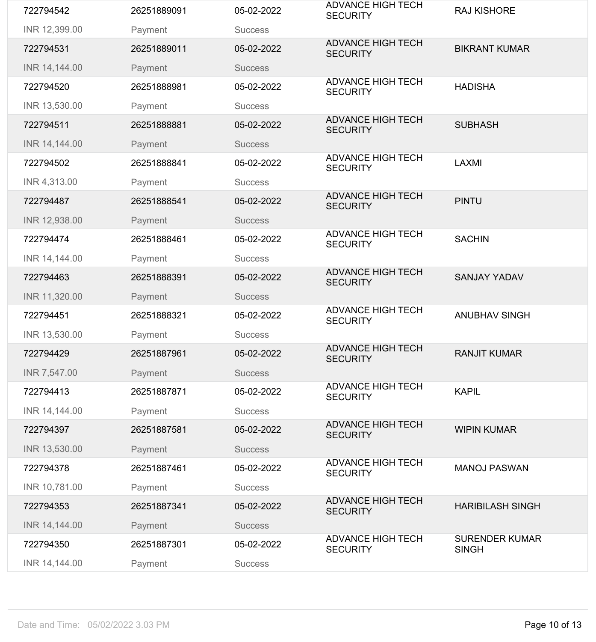| 722794542     | 26251889091 | 05-02-2022     | <b>ADVANCE HIGH TECH</b><br><b>SECURITY</b> | <b>RAJ KISHORE</b>                    |
|---------------|-------------|----------------|---------------------------------------------|---------------------------------------|
| INR 12,399.00 | Payment     | <b>Success</b> |                                             |                                       |
| 722794531     | 26251889011 | 05-02-2022     | <b>ADVANCE HIGH TECH</b><br><b>SECURITY</b> | <b>BIKRANT KUMAR</b>                  |
| INR 14,144.00 | Payment     | <b>Success</b> |                                             |                                       |
| 722794520     | 26251888981 | 05-02-2022     | <b>ADVANCE HIGH TECH</b><br><b>SECURITY</b> | <b>HADISHA</b>                        |
| INR 13,530.00 | Payment     | <b>Success</b> |                                             |                                       |
| 722794511     | 26251888881 | 05-02-2022     | <b>ADVANCE HIGH TECH</b><br><b>SECURITY</b> | <b>SUBHASH</b>                        |
| INR 14,144.00 | Payment     | <b>Success</b> |                                             |                                       |
| 722794502     | 26251888841 | 05-02-2022     | <b>ADVANCE HIGH TECH</b><br><b>SECURITY</b> | <b>LAXMI</b>                          |
| INR 4,313.00  | Payment     | <b>Success</b> |                                             |                                       |
| 722794487     | 26251888541 | 05-02-2022     | <b>ADVANCE HIGH TECH</b><br><b>SECURITY</b> | <b>PINTU</b>                          |
| INR 12,938.00 | Payment     | <b>Success</b> |                                             |                                       |
| 722794474     | 26251888461 | 05-02-2022     | <b>ADVANCE HIGH TECH</b><br><b>SECURITY</b> | <b>SACHIN</b>                         |
| INR 14,144.00 | Payment     | <b>Success</b> |                                             |                                       |
| 722794463     | 26251888391 | 05-02-2022     | <b>ADVANCE HIGH TECH</b><br><b>SECURITY</b> | <b>SANJAY YADAV</b>                   |
| INR 11,320.00 | Payment     | <b>Success</b> |                                             |                                       |
|               |             |                |                                             |                                       |
| 722794451     | 26251888321 | 05-02-2022     | <b>ADVANCE HIGH TECH</b><br><b>SECURITY</b> | <b>ANUBHAV SINGH</b>                  |
| INR 13,530.00 | Payment     | <b>Success</b> |                                             |                                       |
| 722794429     | 26251887961 | 05-02-2022     | <b>ADVANCE HIGH TECH</b><br><b>SECURITY</b> | <b>RANJIT KUMAR</b>                   |
| INR 7,547.00  | Payment     | <b>Success</b> |                                             |                                       |
| 722794413     | 26251887871 | 05-02-2022     | <b>ADVANCE HIGH TECH</b><br><b>SECURITY</b> | <b>KAPIL</b>                          |
| INR 14,144.00 | Payment     | <b>Success</b> |                                             |                                       |
| 722794397     | 26251887581 | 05-02-2022     | <b>ADVANCE HIGH TECH</b><br><b>SECURITY</b> | <b>WIPIN KUMAR</b>                    |
| INR 13,530.00 | Payment     | <b>Success</b> |                                             |                                       |
| 722794378     | 26251887461 | 05-02-2022     | <b>ADVANCE HIGH TECH</b><br><b>SECURITY</b> | <b>MANOJ PASWAN</b>                   |
| INR 10,781.00 | Payment     | <b>Success</b> |                                             |                                       |
| 722794353     | 26251887341 | 05-02-2022     | <b>ADVANCE HIGH TECH</b><br><b>SECURITY</b> | <b>HARIBILASH SINGH</b>               |
| INR 14,144.00 | Payment     | <b>Success</b> |                                             |                                       |
| 722794350     | 26251887301 | 05-02-2022     | <b>ADVANCE HIGH TECH</b><br><b>SECURITY</b> | <b>SURENDER KUMAR</b><br><b>SINGH</b> |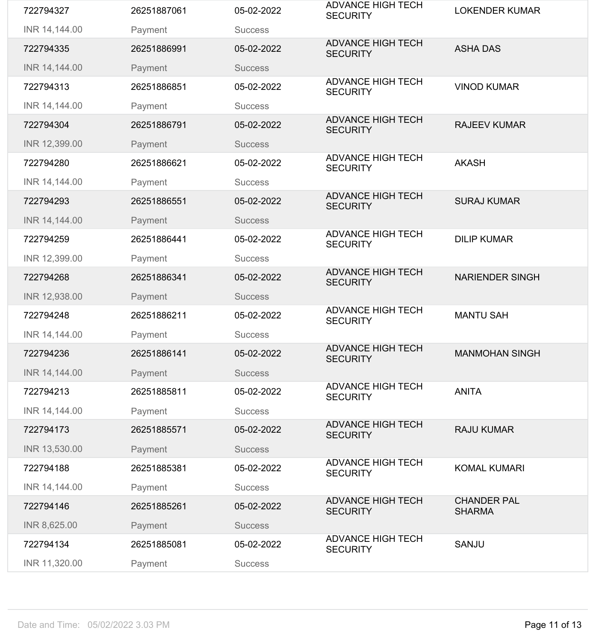| 722794327     | 26251887061 | 05-02-2022     | <b>ADVANCE HIGH TECH</b><br><b>SECURITY</b> | <b>LOKENDER KUMAR</b>               |
|---------------|-------------|----------------|---------------------------------------------|-------------------------------------|
| INR 14,144.00 | Payment     | <b>Success</b> |                                             |                                     |
| 722794335     | 26251886991 | 05-02-2022     | <b>ADVANCE HIGH TECH</b><br><b>SECURITY</b> | <b>ASHA DAS</b>                     |
| INR 14,144.00 | Payment     | <b>Success</b> |                                             |                                     |
| 722794313     | 26251886851 | 05-02-2022     | <b>ADVANCE HIGH TECH</b><br><b>SECURITY</b> | <b>VINOD KUMAR</b>                  |
| INR 14,144.00 | Payment     | <b>Success</b> |                                             |                                     |
| 722794304     | 26251886791 | 05-02-2022     | <b>ADVANCE HIGH TECH</b><br><b>SECURITY</b> | <b>RAJEEV KUMAR</b>                 |
| INR 12,399.00 | Payment     | <b>Success</b> |                                             |                                     |
| 722794280     | 26251886621 | 05-02-2022     | <b>ADVANCE HIGH TECH</b><br><b>SECURITY</b> | <b>AKASH</b>                        |
| INR 14,144.00 | Payment     | <b>Success</b> |                                             |                                     |
| 722794293     | 26251886551 | 05-02-2022     | <b>ADVANCE HIGH TECH</b><br><b>SECURITY</b> | <b>SURAJ KUMAR</b>                  |
| INR 14,144.00 | Payment     | <b>Success</b> |                                             |                                     |
| 722794259     | 26251886441 | 05-02-2022     | <b>ADVANCE HIGH TECH</b><br><b>SECURITY</b> | <b>DILIP KUMAR</b>                  |
| INR 12,399.00 | Payment     | <b>Success</b> |                                             |                                     |
| 722794268     | 26251886341 | 05-02-2022     | <b>ADVANCE HIGH TECH</b><br><b>SECURITY</b> | <b>NARIENDER SINGH</b>              |
| INR 12,938.00 | Payment     | <b>Success</b> |                                             |                                     |
| 722794248     | 26251886211 | 05-02-2022     | <b>ADVANCE HIGH TECH</b><br><b>SECURITY</b> | <b>MANTU SAH</b>                    |
| INR 14,144.00 | Payment     | <b>Success</b> |                                             |                                     |
| 722794236     | 26251886141 | 05-02-2022     | <b>ADVANCE HIGH TECH</b><br><b>SECURITY</b> | <b>MANMOHAN SINGH</b>               |
| INR 14,144.00 | Payment     | <b>Success</b> |                                             |                                     |
| 722794213     | 26251885811 | 05-02-2022     | <b>ADVANCE HIGH TECH</b><br><b>SECURITY</b> | <b>ANITA</b>                        |
| INR 14,144.00 | Payment     | <b>Success</b> |                                             |                                     |
| 722794173     | 26251885571 | 05-02-2022     | <b>ADVANCE HIGH TECH</b><br><b>SECURITY</b> | <b>RAJU KUMAR</b>                   |
| INR 13,530.00 | Payment     | <b>Success</b> |                                             |                                     |
| 722794188     | 26251885381 | 05-02-2022     | <b>ADVANCE HIGH TECH</b><br><b>SECURITY</b> | <b>KOMAL KUMARI</b>                 |
| INR 14,144.00 | Payment     | <b>Success</b> |                                             |                                     |
| 722794146     | 26251885261 | 05-02-2022     | <b>ADVANCE HIGH TECH</b><br><b>SECURITY</b> | <b>CHANDER PAL</b><br><b>SHARMA</b> |
| INR 8,625.00  | Payment     | <b>Success</b> |                                             |                                     |
| 722794134     | 26251885081 | 05-02-2022     | <b>ADVANCE HIGH TECH</b><br><b>SECURITY</b> | <b>SANJU</b>                        |
| INR 11,320.00 | Payment     | <b>Success</b> |                                             |                                     |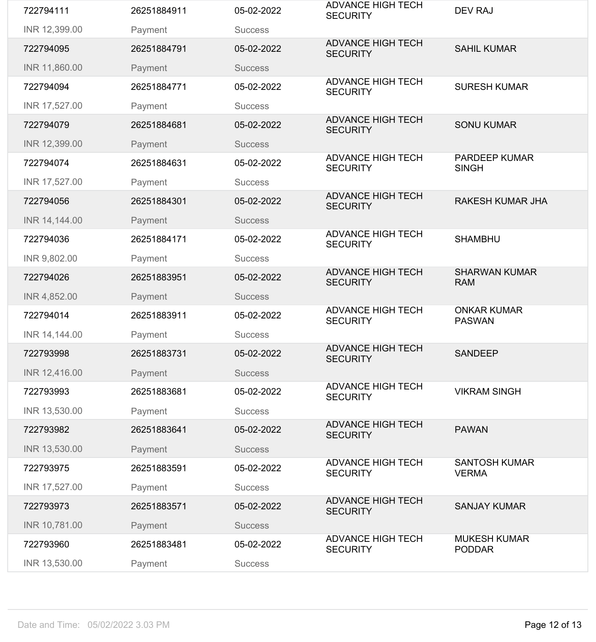| 722794111     | 26251884911 | 05-02-2022     | <b>ADVANCE HIGH TECH</b><br><b>SECURITY</b> | <b>DEV RAJ</b>                       |
|---------------|-------------|----------------|---------------------------------------------|--------------------------------------|
| INR 12,399.00 | Payment     | <b>Success</b> |                                             |                                      |
| 722794095     | 26251884791 | 05-02-2022     | <b>ADVANCE HIGH TECH</b><br><b>SECURITY</b> | <b>SAHIL KUMAR</b>                   |
| INR 11,860.00 | Payment     | <b>Success</b> |                                             |                                      |
| 722794094     | 26251884771 | 05-02-2022     | <b>ADVANCE HIGH TECH</b><br><b>SECURITY</b> | <b>SURESH KUMAR</b>                  |
| INR 17,527.00 | Payment     | <b>Success</b> |                                             |                                      |
| 722794079     | 26251884681 | 05-02-2022     | <b>ADVANCE HIGH TECH</b><br><b>SECURITY</b> | <b>SONU KUMAR</b>                    |
| INR 12,399.00 | Payment     | <b>Success</b> |                                             |                                      |
| 722794074     | 26251884631 | 05-02-2022     | <b>ADVANCE HIGH TECH</b><br><b>SECURITY</b> | <b>PARDEEP KUMAR</b><br><b>SINGH</b> |
| INR 17,527.00 | Payment     | <b>Success</b> |                                             |                                      |
| 722794056     | 26251884301 | 05-02-2022     | <b>ADVANCE HIGH TECH</b><br><b>SECURITY</b> | <b>RAKESH KUMAR JHA</b>              |
| INR 14,144.00 | Payment     | <b>Success</b> |                                             |                                      |
| 722794036     | 26251884171 | 05-02-2022     | <b>ADVANCE HIGH TECH</b><br><b>SECURITY</b> | <b>SHAMBHU</b>                       |
| INR 9,802.00  | Payment     | <b>Success</b> |                                             |                                      |
| 722794026     | 26251883951 | 05-02-2022     | <b>ADVANCE HIGH TECH</b><br><b>SECURITY</b> | <b>SHARWAN KUMAR</b><br><b>RAM</b>   |
| INR 4,852.00  | Payment     | <b>Success</b> |                                             |                                      |
| 722794014     | 26251883911 | 05-02-2022     | <b>ADVANCE HIGH TECH</b><br><b>SECURITY</b> | <b>ONKAR KUMAR</b><br><b>PASWAN</b>  |
| INR 14,144.00 | Payment     | <b>Success</b> |                                             |                                      |
| 722793998     | 26251883731 | 05-02-2022     | <b>ADVANCE HIGH TECH</b><br><b>SECURITY</b> | <b>SANDEEP</b>                       |
| INR 12,416.00 | Payment     | <b>Success</b> |                                             |                                      |
| 722793993     | 26251883681 | 05-02-2022     | <b>ADVANCE HIGH TECH</b><br><b>SECURITY</b> | <b>VIKRAM SINGH</b>                  |
| INR 13,530.00 | Payment     | <b>Success</b> |                                             |                                      |
|               |             |                |                                             |                                      |
| 722793982     | 26251883641 | 05-02-2022     | <b>ADVANCE HIGH TECH</b><br><b>SECURITY</b> | <b>PAWAN</b>                         |
| INR 13,530.00 | Payment     | <b>Success</b> |                                             |                                      |
| 722793975     | 26251883591 | 05-02-2022     | <b>ADVANCE HIGH TECH</b><br><b>SECURITY</b> | <b>SANTOSH KUMAR</b><br><b>VERMA</b> |
| INR 17,527.00 | Payment     | <b>Success</b> |                                             |                                      |
| 722793973     | 26251883571 | 05-02-2022     | <b>ADVANCE HIGH TECH</b><br><b>SECURITY</b> | <b>SANJAY KUMAR</b>                  |
| INR 10,781.00 | Payment     | <b>Success</b> |                                             |                                      |
| 722793960     | 26251883481 | 05-02-2022     | <b>ADVANCE HIGH TECH</b><br><b>SECURITY</b> | <b>MUKESH KUMAR</b><br><b>PODDAR</b> |